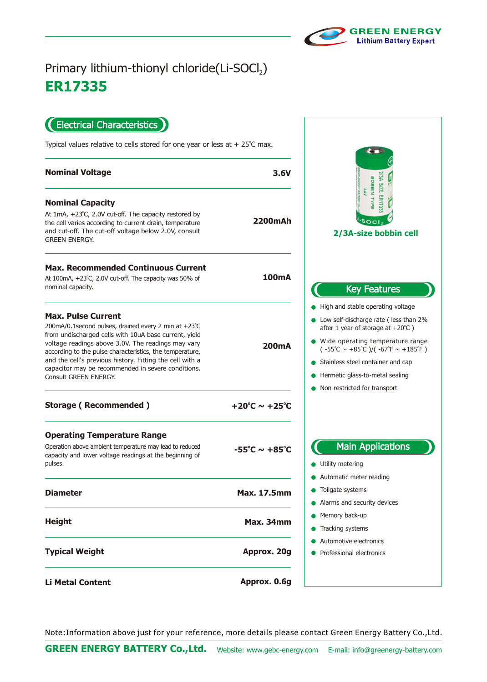

## **ER17335** Primary lithium-thionyl chloride(Li-SOCl2)

Electrical Characteristics  $\blacksquare$ 

Typical values relative to cells stored for one year or less at  $+25^{\circ}$ C max.

| <b>Nominal Voltage</b>                                                                                                                                                                                                                                                                                                                                                                                   | 3.6V                              | ASI<br>BOBBIN<br><b>SIZE</b>                                                                                                                                                                                                                                                                                                                          |
|----------------------------------------------------------------------------------------------------------------------------------------------------------------------------------------------------------------------------------------------------------------------------------------------------------------------------------------------------------------------------------------------------------|-----------------------------------|-------------------------------------------------------------------------------------------------------------------------------------------------------------------------------------------------------------------------------------------------------------------------------------------------------------------------------------------------------|
| <b>Nominal Capacity</b><br>At 1mA, +23°C, 2.0V cut-off. The capacity restored by<br>the cell varies according to current drain, temperature<br>and cut-off. The cut-off voltage below 2.0V, consult<br><b>GREEN ENERGY.</b>                                                                                                                                                                              | 2200mAh                           | TYPE<br>2/3A-size bobbin cell                                                                                                                                                                                                                                                                                                                         |
| <b>Max. Recommended Continuous Current</b><br>At 100mA, +23°C, 2.0V cut-off. The capacity was 50% of<br>nominal capacity.                                                                                                                                                                                                                                                                                | 100 <sub>m</sub> A                | <b>Key Features</b>                                                                                                                                                                                                                                                                                                                                   |
| <b>Max. Pulse Current</b><br>200mA/0.1 second pulses, drained every 2 min at +23°C<br>from undischarged cells with 10uA base current, yield<br>voltage readings above 3.0V. The readings may vary<br>according to the pulse characteristics, the temperature,<br>and the cell's previous history. Fitting the cell with a<br>capacitor may be recommended in severe conditions.<br>Consult GREEN ENERGY. | 200 <sub>m</sub> A                | • High and stable operating voltage<br>• Low self-discharge rate (less than 2%<br>after 1 year of storage at $+20^{\circ}$ C )<br>• Wide operating temperature range<br>$(-55^{\circ}C \sim +85^{\circ}C)/( -67^{\circ}F \sim +185^{\circ}F)$<br>Stainless steel container and cap<br>Hermetic glass-to-metal sealing<br>Non-restricted for transport |
| <b>Storage (Recommended)</b>                                                                                                                                                                                                                                                                                                                                                                             | +20°C $\sim$ +25°C                |                                                                                                                                                                                                                                                                                                                                                       |
| <b>Operating Temperature Range</b><br>Operation above ambient temperature may lead to reduced<br>capacity and lower voltage readings at the beginning of<br>pulses.                                                                                                                                                                                                                                      | $-55^{\circ}$ C ~ $+85^{\circ}$ C | <b>Main Applications</b><br>• Utility metering                                                                                                                                                                                                                                                                                                        |
| <b>Diameter</b>                                                                                                                                                                                                                                                                                                                                                                                          | <b>Max. 17.5mm</b>                | Automatic meter reading<br>Tollgate systems<br>• Alarms and security devices                                                                                                                                                                                                                                                                          |
| <b>Height</b>                                                                                                                                                                                                                                                                                                                                                                                            | <b>Max. 34mm</b>                  | • Memory back-up<br>Tracking systems                                                                                                                                                                                                                                                                                                                  |
| <b>Typical Weight</b>                                                                                                                                                                                                                                                                                                                                                                                    | Approx. 20g                       | Automotive electronics<br>Professional electronics                                                                                                                                                                                                                                                                                                    |
| <b>Li Metal Content</b>                                                                                                                                                                                                                                                                                                                                                                                  | Approx. 0.6g                      |                                                                                                                                                                                                                                                                                                                                                       |

Note:Information above just for your reference, more details please contact Green Energy Battery Co.,Ltd.